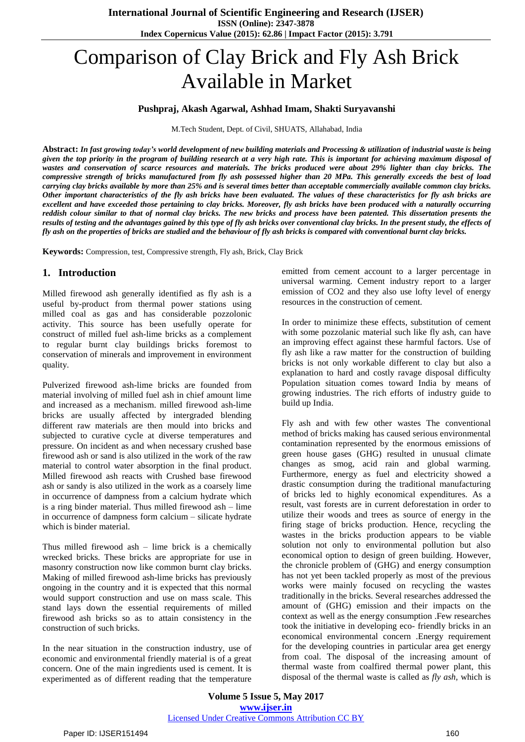# Comparison of Clay Brick and Fly Ash Brick Available in Market

#### **Pushpraj, Akash Agarwal, Ashhad Imam, Shakti Suryavanshi**

M.Tech Student, Dept. of Civil, SHUATS, Allahabad, India

Abstract: In fast growing today's world development of new building materials and Processing & utilization of industrial waste is being given the top priority in the program of building research at a very high rate. This is important for achieving maximum disposal of wastes and conservation of scarce resources and materials. The bricks produced were about 29% lighter than clay bricks. The compressive strength of bricks manufactured from fly ash possessed higher than 20 MPa. This generally exceeds the best of load carrying clay bricks available by more than 25% and is several times better than acceptable commercially available common clay bricks. Other important characteristics of the fly ash bricks have been evaluated. The values of these characteristics for fly ash bricks are excellent and have exceeded those pertaining to clay bricks. Moreover, fly ash bricks have been produced with a naturally occurring reddish colour similar to that of normal clay bricks. The new bricks and process have been patented. This dissertation presents the results of testing and the advantages gained by this type of fly ash bricks over conventional clay bricks. In the present study, the effects of fly ash on the properties of bricks are studied and the behaviour of fly ash bricks is compared with conventional burnt clay bricks.

**Keywords:** Compression, test, Compressive strength, Fly ash, Brick, Clay Brick

# **1. Introduction**

Milled firewood ash generally identified as fly ash is a useful by-product from thermal power stations using milled coal as gas and has considerable pozzolonic activity. This source has been usefully operate for construct of milled fuel ash-lime bricks as a complement to regular burnt clay buildings bricks foremost to conservation of minerals and improvement in environment quality.

Pulverized firewood ash-lime bricks are founded from material involving of milled fuel ash in chief amount lime and increased as a mechanism. milled firewood ash-lime bricks are usually affected by intergraded blending different raw materials are then mould into bricks and subjected to curative cycle at diverse temperatures and pressure. On incident as and when necessary crushed base firewood ash or sand is also utilized in the work of the raw material to control water absorption in the final product. Milled firewood ash reacts with Crushed base firewood ash or sandy is also utilized in the work as a coarsely lime in occurrence of dampness from a calcium hydrate which is a ring binder material. Thus milled firewood ash – lime in occurrence of dampness form calcium – silicate hydrate which is binder material.

Thus milled firewood ash – lime brick is a chemically wrecked bricks. These bricks are appropriate for use in masonry construction now like common burnt clay bricks. Making of milled firewood ash-lime bricks has previously ongoing in the country and it is expected that this normal would support construction and use on mass scale. This stand lays down the essential requirements of milled firewood ash bricks so as to attain consistency in the construction of such bricks.

In the near situation in the construction industry, use of economic and environmental friendly material is of a great concern. One of the main ingredients used is cement. It is experimented as of different reading that the temperature

emitted from cement account to a larger percentage in universal warming. Cement industry report to a larger emission of CO2 and they also use lofty level of energy resources in the construction of cement.

In order to minimize these effects, substitution of cement with some pozzolanic material such like fly ash, can have an improving effect against these harmful factors. Use of fly ash like a raw matter for the construction of building bricks is not only workable different to clay but also a explanation to hard and costly ravage disposal difficulty Population situation comes toward India by means of growing industries. The rich efforts of industry guide to build up India.

Fly ash and with few other wastes The conventional method of bricks making has caused serious environmental contamination represented by the enormous emissions of green house gases (GHG) resulted in unusual climate changes as smog, acid rain and global warming. Furthermore, energy as fuel and electricity showed a drastic consumption during the traditional manufacturing of bricks led to highly economical expenditures. As a result, vast forests are in current deforestation in order to utilize their woods and trees as source of energy in the firing stage of bricks production. Hence, recycling the wastes in the bricks production appears to be viable solution not only to environmental pollution but also economical option to design of green building. However, the chronicle problem of (GHG) and energy consumption has not yet been tackled properly as most of the previous works were mainly focused on recycling the wastes traditionally in the bricks. Several researches addressed the amount of (GHG) emission and their impacts on the context as well as the energy consumption .Few researches took the initiative in developing eco- friendly bricks in an economical environmental concern .Energy requirement for the developing countries in particular area get energy from coal. The disposal of the increasing amount of thermal waste from coalfired thermal power plant, this disposal of the thermal waste is called as *fly ash,* which is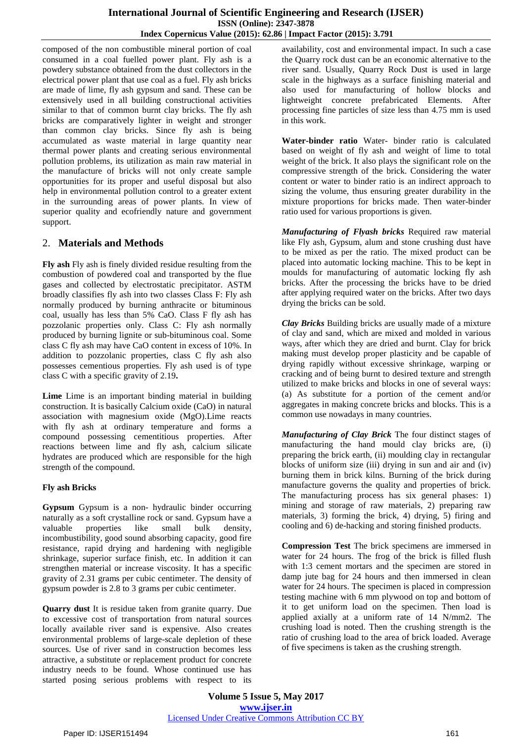composed of the non combustible mineral portion of coal consumed in a coal fuelled power plant. Fly ash is a powdery substance obtained from the dust collectors in the electrical power plant that use coal as a fuel. Fly ash bricks are made of lime, fly ash gypsum and sand. These can be extensively used in all building constructional activities similar to that of common burnt clay bricks. The fly ash bricks are comparatively lighter in weight and stronger than common clay bricks. Since fly ash is being accumulated as waste material in large quantity near thermal power plants and creating serious environmental pollution problems, its utilization as main raw material in the manufacture of bricks will not only create sample opportunities for its proper and useful disposal but also help in environmental pollution control to a greater extent in the surrounding areas of power plants. In view of superior quality and ecofriendly nature and government support.

### 2. **Materials and Methods**

**Fly ash** Fly ash is finely divided residue resulting from the combustion of powdered coal and transported by the flue gases and collected by electrostatic precipitator. ASTM broadly classifies fly ash into two classes Class F: Fly ash normally produced by burning anthracite or bituminous coal, usually has less than 5% CaO. Class F fly ash has pozzolanic properties only. Class C: Fly ash normally produced by burning lignite or sub-bituminous coal. Some class C fly ash may have CaO content in excess of 10%. In addition to pozzolanic properties, class C fly ash also possesses cementious properties. Fly ash used is of type class C with a specific gravity of 2.19**.**

**Lime** Lime is an important binding material in building construction. It is basically Calcium oxide (CaO) in natural association with magnesium oxide (MgO).Lime reacts with fly ash at ordinary temperature and forms a compound possessing cementitious properties. After reactions between lime and fly ash, calcium silicate hydrates are produced which are responsible for the high strength of the compound.

#### **Fly ash Bricks**

**Gypsum** Gypsum is a non- hydraulic binder occurring naturally as a soft crystalline rock or sand. Gypsum have a valuable properties like small bulk density, incombustibility, good sound absorbing capacity, good fire resistance, rapid drying and hardening with negligible shrinkage, superior surface finish, etc. In addition it can strengthen material or increase viscosity. It has a specific gravity of 2.31 grams per cubic centimeter. The density of gypsum powder is 2.8 to 3 grams per cubic centimeter.

**Quarry dust** It is residue taken from granite quarry. Due to excessive cost of transportation from natural sources locally available river sand is expensive. Also creates environmental problems of large-scale depletion of these sources. Use of river sand in construction becomes less attractive, a substitute or replacement product for concrete industry needs to be found. Whose continued use has started posing serious problems with respect to its availability, cost and environmental impact. In such a case the Quarry rock dust can be an economic alternative to the river sand. Usually, Quarry Rock Dust is used in large scale in the highways as a surface finishing material and also used for manufacturing of hollow blocks and lightweight concrete prefabricated Elements. After processing fine particles of size less than 4.75 mm is used in this work.

**Water-binder ratio** Water- binder ratio is calculated based on weight of fly ash and weight of lime to total weight of the brick. It also plays the significant role on the compressive strength of the brick. Considering the water content or water to binder ratio is an indirect approach to sizing the volume, thus ensuring greater durability in the mixture proportions for bricks made. Then water-binder ratio used for various proportions is given.

*Manufacturing of Flyash bricks* Required raw material like Fly ash, Gypsum, alum and stone crushing dust have to be mixed as per the ratio. The mixed product can be placed into automatic locking machine. This to be kept in moulds for manufacturing of automatic locking fly ash bricks. After the processing the bricks have to be dried after applying required water on the bricks. After two days drying the bricks can be sold.

*Clay Bricks* Building bricks are usually made of a mixture of clay and sand, which are mixed and molded in various ways, after which they are dried and burnt. Clay for brick making must develop proper plasticity and be capable of drying rapidly without excessive shrinkage, warping or cracking and of being burnt to desired texture and strength utilized to make bricks and blocks in one of several ways: (a) As substitute for a portion of the cement and/or aggregates in making concrete bricks and blocks. This is a common use nowadays in many countries.

*Manufacturing of Clay Brick* The four distinct stages of manufacturing the hand mould clay bricks are, (i) preparing the brick earth, (ii) moulding clay in rectangular blocks of uniform size (iii) drying in sun and air and (iv) burning them in brick kilns. Burning of the brick during manufacture governs the quality and properties of brick. The manufacturing process has six general phases: 1) mining and storage of raw materials, 2) preparing raw materials, 3) forming the brick, 4) drying, 5) firing and cooling and 6) de-hacking and storing finished products.

**Compression Test** The brick specimens are immersed in water for 24 hours. The frog of the brick is filled flush with 1:3 cement mortars and the specimen are stored in damp jute bag for 24 hours and then immersed in clean water for 24 hours. The specimen is placed in compression testing machine with 6 mm plywood on top and bottom of it to get uniform load on the specimen. Then load is applied axially at a uniform rate of 14 N/mm2. The crushing load is noted. Then the crushing strength is the ratio of crushing load to the area of brick loaded. Average of five specimens is taken as the crushing strength.

**Volume 5 Issue 5, May 2017 www.ijser.in** Licensed Under Creative Commons Attribution CC BY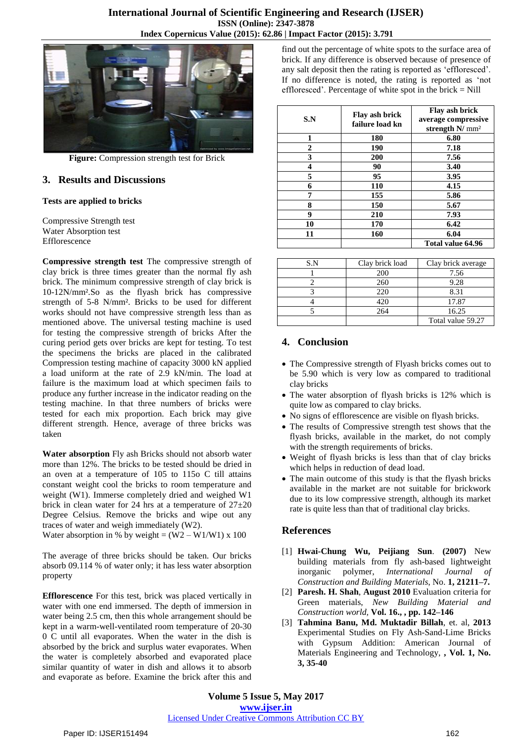

**Figure:** Compression strength test for Brick

# **3. Results and Discussions**

#### **Tests are applied to bricks**

Compressive Strength test Water Absorption test Efflorescence

**Compressive strength test** The compressive strength of clay brick is three times greater than the normal fly ash brick. The minimum compressive strength of clay brick is 10-12N/mm².So as the flyash brick has compressive strength of 5-8 N/mm². Bricks to be used for different works should not have compressive strength less than as mentioned above. The universal testing machine is used for testing the compressive strength of bricks After the curing period gets over bricks are kept for testing. To test the specimens the bricks are placed in the calibrated Compression testing machine of capacity 3000 kN applied a load uniform at the rate of 2.9 kN/min. The load at failure is the maximum load at which specimen fails to produce any further increase in the indicator reading on the testing machine. In that three numbers of bricks were tested for each mix proportion. Each brick may give different strength. Hence, average of three bricks was taken

**Water absorption** Fly ash Bricks should not absorb water more than 12%. The bricks to be tested should be dried in an oven at a temperature of 105 to 115o C till attains constant weight cool the bricks to room temperature and weight (W1). Immerse completely dried and weighed W1 brick in clean water for 24 hrs at a temperature of  $27\pm20$ Degree Celsius. Remove the bricks and wipe out any traces of water and weigh immediately (W2).

Water absorption in % by weight =  $(W2 - W1/W1)$  x 100

The average of three bricks should be taken. Our bricks absorb 09.114 % of water only; it has less water absorption property

**Efflorescence** For this test, brick was placed vertically in water with one end immersed. The depth of immersion in water being 2.5 cm, then this whole arrangement should be kept in a warm-well-ventilated room temperature of 20-30 0 C until all evaporates. When the water in the dish is absorbed by the brick and surplus water evaporates. When the water is completely absorbed and evaporated place similar quantity of water in dish and allows it to absorb and evaporate as before. Examine the brick after this and

find out the percentage of white spots to the surface area of brick. If any difference is observed because of presence of any salt deposit then the rating is reported as 'effloresced'. If no difference is noted, the rating is reported as 'not effloresced'. Percentage of white spot in the brick  $=$  Nill

| S.N | Flay ash brick<br>failure load kn | Flay ash brick<br>average compressive<br>strength N/ mm <sup>2</sup> |
|-----|-----------------------------------|----------------------------------------------------------------------|
| 1   | 180                               | 6.80                                                                 |
| 2   | 190                               | 7.18                                                                 |
| 3   | 200                               | 7.56                                                                 |
| 4   | 90                                | 3.40                                                                 |
| 5   | 95                                | 3.95                                                                 |
| 6   | 110                               | 4.15                                                                 |
| 7   | 155                               | 5.86                                                                 |
| 8   | 150                               | 5.67                                                                 |
| 9   | 210                               | 7.93                                                                 |
| 10  | 170                               | 6.42                                                                 |
| 11  | 160                               | 6.04                                                                 |
|     |                                   | Total value 64.96                                                    |

| S.N | Clay brick load | Clay brick average |
|-----|-----------------|--------------------|
|     | 200             | 7.56               |
|     | 260             | 9.28               |
|     | 220             | 8.31               |
|     | 420             | 17.87              |
|     | 264             | 16.25              |
|     |                 | Total value 59.27  |

# **4. Conclusion**

- The Compressive strength of Flyash bricks comes out to be 5.90 which is very low as compared to traditional clay bricks
- The water absorption of flyash bricks is 12% which is quite low as compared to clay bricks.
- No signs of efflorescence are visible on flyash bricks.
- The results of Compressive strength test shows that the flyash bricks, available in the market, do not comply with the strength requirements of bricks.
- Weight of flyash bricks is less than that of clay bricks which helps in reduction of dead load.
- The main outcome of this study is that the flyash bricks available in the market are not suitable for brickwork due to its low compressive strength, although its market rate is quite less than that of traditional clay bricks.

# **References**

- [1] **Hwai-Chung Wu, Peijiang Sun**. **(2007)** New building materials from fly ash-based lightweight inorganic polymer, *International Journal of Construction and Building Materials*, No. **1, 21211–7.**
- [2] **Paresh. H. Shah**, **August 2010** Evaluation criteria for Green materials, *New Building Material and Construction world,* **Vol. 16., , pp. 142–146**
- [3] **Tahmina Banu, Md. Muktadir Billah**, et. al, **2013** Experimental Studies on Fly Ash-Sand-Lime Bricks with Gypsum Addition: American Journal of Materials Engineering and Technology, **, Vol. 1, No. 3, 35-40**

**Volume 5 Issue 5, May 2017 www.ijser.in** Licensed Under Creative Commons Attribution CC BY